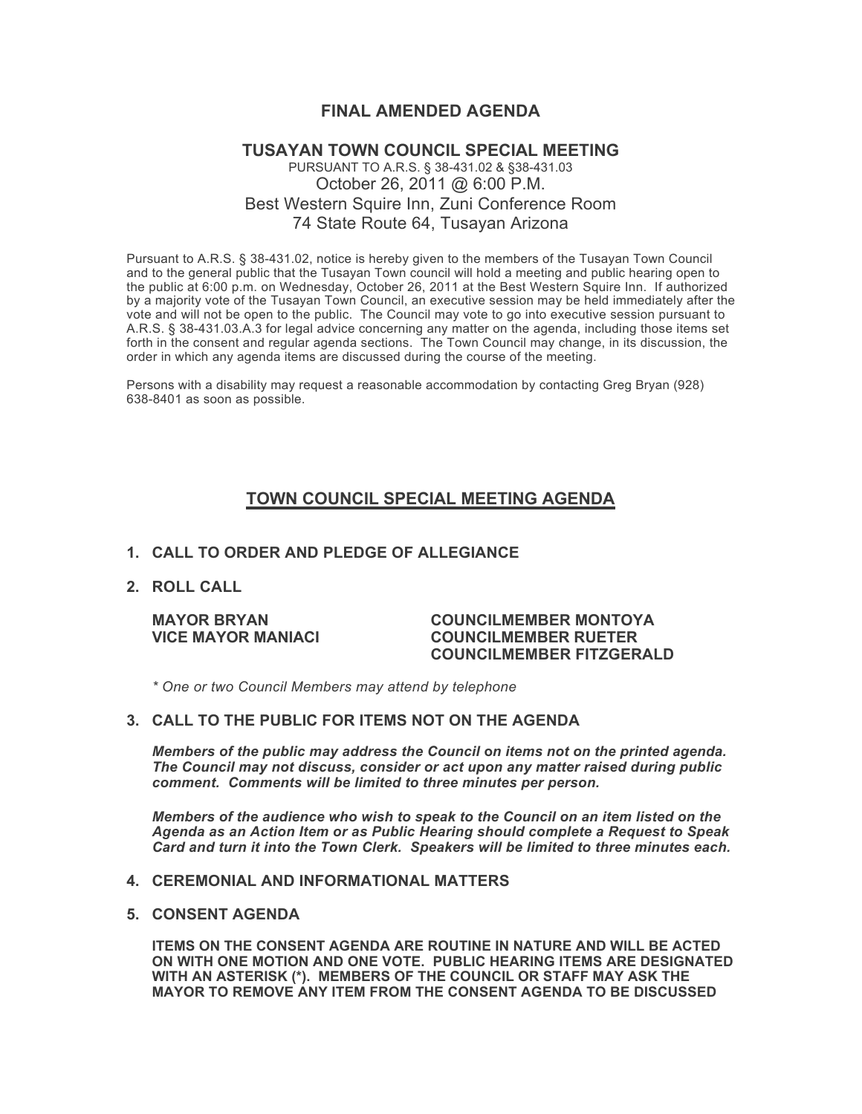## **FINAL AMENDED AGENDA**

### **TUSAYAN TOWN COUNCIL SPECIAL MEETING** PURSUANT TO A.R.S. § 38-431.02 & §38-431.03 October 26, 2011 @ 6:00 P.M. Best Western Squire Inn, Zuni Conference Room 74 State Route 64, Tusayan Arizona

Pursuant to A.R.S. § 38-431.02, notice is hereby given to the members of the Tusayan Town Council and to the general public that the Tusayan Town council will hold a meeting and public hearing open to the public at 6:00 p.m. on Wednesday, October 26, 2011 at the Best Western Squire Inn. If authorized by a majority vote of the Tusayan Town Council, an executive session may be held immediately after the vote and will not be open to the public. The Council may vote to go into executive session pursuant to A.R.S. § 38-431.03.A.3 for legal advice concerning any matter on the agenda, including those items set forth in the consent and regular agenda sections. The Town Council may change, in its discussion, the order in which any agenda items are discussed during the course of the meeting.

Persons with a disability may request a reasonable accommodation by contacting Greg Bryan (928) 638-8401 as soon as possible.

# **TOWN COUNCIL SPECIAL MEETING AGENDA**

#### **1. CALL TO ORDER AND PLEDGE OF ALLEGIANCE**

**2. ROLL CALL**

#### **MAYOR BRYAN COUNCILMEMBER MONTOYA VICE MAYOR MANIACI COUNCILMEMBER RUETER COUNCILMEMBER FITZGERALD**

*\* One or two Council Members may attend by telephone*

#### **3. CALL TO THE PUBLIC FOR ITEMS NOT ON THE AGENDA**

*Members of the public may address the Council* **o***n items not on the printed agenda. The Council may not discuss, consider or act upon any matter raised during public comment. Comments will be limited to three minutes per person.*

*Members of the audience who wish to speak to the Council on an item listed on the Agenda as an Action Item or as Public Hearing should complete a Request to Speak Card and turn it into the Town Clerk. Speakers will be limited to three minutes each.*

#### **4. CEREMONIAL AND INFORMATIONAL MATTERS**

#### **5. CONSENT AGENDA**

**ITEMS ON THE CONSENT AGENDA ARE ROUTINE IN NATURE AND WILL BE ACTED ON WITH ONE MOTION AND ONE VOTE. PUBLIC HEARING ITEMS ARE DESIGNATED WITH AN ASTERISK (\*). MEMBERS OF THE COUNCIL OR STAFF MAY ASK THE MAYOR TO REMOVE ANY ITEM FROM THE CONSENT AGENDA TO BE DISCUSSED**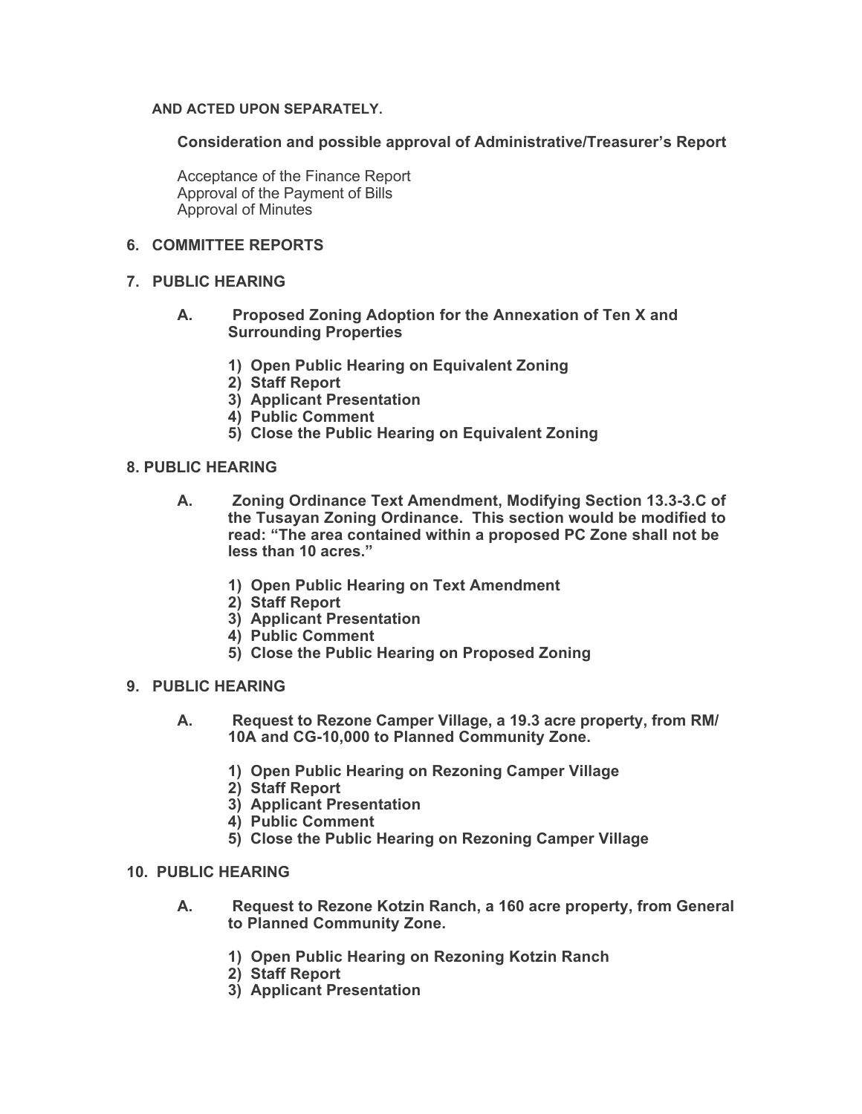### **AND ACTED UPON SEPARATELY.**

**Consideration and possible approval of Administrative/Treasurer's Report**

Acceptance of the Finance Report Approval of the Payment of Bills Approval of Minutes

## **6. COMMITTEE REPORTS**

### **7. PUBLIC HEARING**

- **A. Proposed Zoning Adoption for the Annexation of Ten X and Surrounding Properties**
	- **1) Open Public Hearing on Equivalent Zoning**
	- **2) Staff Report**
	- **3) Applicant Presentation**
	- **4) Public Comment**
	- **5) Close the Public Hearing on Equivalent Zoning**

### **8. PUBLIC HEARING**

- **A. Zoning Ordinance Text Amendment, Modifying Section 13.3-3.C of the Tusayan Zoning Ordinance. This section would be modified to read: "The area contained within a proposed PC Zone shall not be less than 10 acres."**
	- **1) Open Public Hearing on Text Amendment**
	- **2) Staff Report**
	- **3) Applicant Presentation**
	- **4) Public Comment**
	- **5) Close the Public Hearing on Proposed Zoning**
- **9. PUBLIC HEARING** 
	- **A. Request to Rezone Camper Village, a 19.3 acre property, from RM/ 10A and CG-10,000 to Planned Community Zone.** 
		- **1) Open Public Hearing on Rezoning Camper Village**
		- **2) Staff Report**
		- **3) Applicant Presentation**
		- **4) Public Comment**
		- **5) Close the Public Hearing on Rezoning Camper Village**
- **10. PUBLIC HEARING** 
	- **A. Request to Rezone Kotzin Ranch, a 160 acre property, from General to Planned Community Zone.**
		- **1) Open Public Hearing on Rezoning Kotzin Ranch**
		- **2) Staff Report**
		- **3) Applicant Presentation**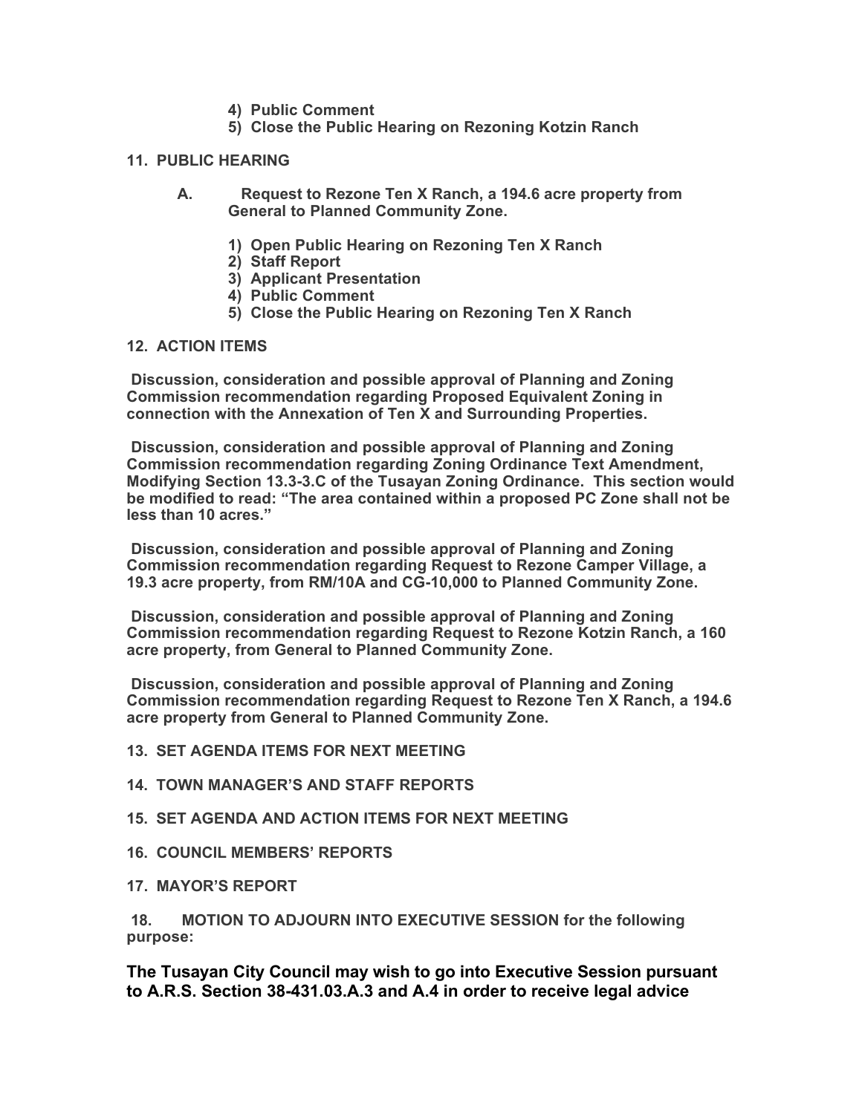- **4) Public Comment**
- **5) Close the Public Hearing on Rezoning Kotzin Ranch**

### **11. PUBLIC HEARING**

- **A. Request to Rezone Ten X Ranch, a 194.6 acre property from General to Planned Community Zone.** 
	- **1) Open Public Hearing on Rezoning Ten X Ranch**
	- **2) Staff Report**
	- **3) Applicant Presentation**
	- **4) Public Comment**
	- **5) Close the Public Hearing on Rezoning Ten X Ranch**

### **12. ACTION ITEMS**

 **Discussion, consideration and possible approval of Planning and Zoning Commission recommendation regarding Proposed Equivalent Zoning in connection with the Annexation of Ten X and Surrounding Properties.**

 **Discussion, consideration and possible approval of Planning and Zoning Commission recommendation regarding Zoning Ordinance Text Amendment, Modifying Section 13.3-3.C of the Tusayan Zoning Ordinance. This section would be modified to read: "The area contained within a proposed PC Zone shall not be less than 10 acres."**

 **Discussion, consideration and possible approval of Planning and Zoning Commission recommendation regarding Request to Rezone Camper Village, a 19.3 acre property, from RM/10A and CG-10,000 to Planned Community Zone.** 

 **Discussion, consideration and possible approval of Planning and Zoning Commission recommendation regarding Request to Rezone Kotzin Ranch, a 160 acre property, from General to Planned Community Zone.** 

 **Discussion, consideration and possible approval of Planning and Zoning Commission recommendation regarding Request to Rezone Ten X Ranch, a 194.6 acre property from General to Planned Community Zone.** 

**13. SET AGENDA ITEMS FOR NEXT MEETING** 

- **14. TOWN MANAGER'S AND STAFF REPORTS**
- **15. SET AGENDA AND ACTION ITEMS FOR NEXT MEETING**
- **16. COUNCIL MEMBERS' REPORTS**
- **17. MAYOR'S REPORT**

 **18. MOTION TO ADJOURN INTO EXECUTIVE SESSION for the following purpose:**

**The Tusayan City Council may wish to go into Executive Session pursuant to A.R.S. Section 38-431.03.A.3 and A.4 in order to receive legal advice**